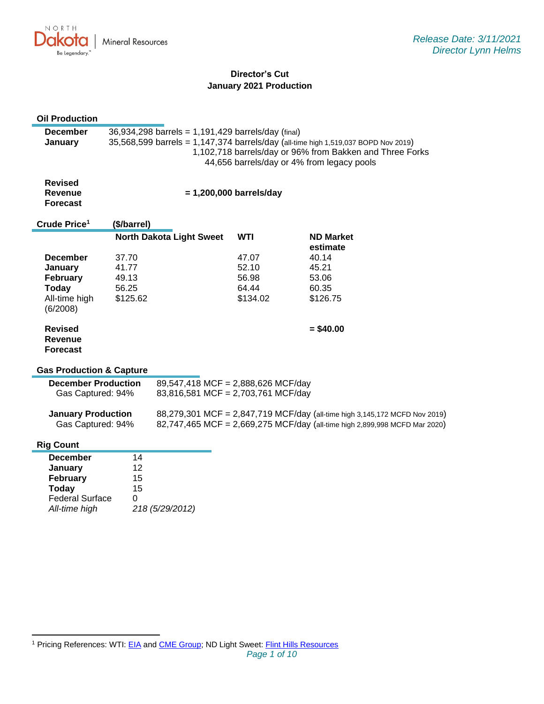

# **Director's Cut January 2021 Production**

| <b>Oil Production</b>                  |                                                                                                                                          |                                    |                                    |                                                                            |  |
|----------------------------------------|------------------------------------------------------------------------------------------------------------------------------------------|------------------------------------|------------------------------------|----------------------------------------------------------------------------|--|
| <b>December</b>                        | 36,934,298 barrels = 1,191,429 barrels/day (final)<br>35,568,599 barrels = 1,147,374 barrels/day (all-time high 1,519,037 BOPD Nov 2019) |                                    |                                    |                                                                            |  |
| January                                |                                                                                                                                          |                                    |                                    | 1,102,718 barrels/day or 96% from Bakken and Three Forks                   |  |
|                                        | 44,656 barrels/day or 4% from legacy pools                                                                                               |                                    |                                    |                                                                            |  |
|                                        |                                                                                                                                          |                                    |                                    |                                                                            |  |
| <b>Revised</b>                         |                                                                                                                                          |                                    |                                    |                                                                            |  |
| <b>Revenue</b><br><b>Forecast</b>      | $= 1,200,000$ barrels/day                                                                                                                |                                    |                                    |                                                                            |  |
|                                        |                                                                                                                                          |                                    |                                    |                                                                            |  |
| Crude Price <sup>1</sup>               | (\$/barrel)                                                                                                                              |                                    |                                    |                                                                            |  |
|                                        |                                                                                                                                          | <b>North Dakota Light Sweet</b>    | <b>WTI</b>                         | <b>ND Market</b>                                                           |  |
| <b>December</b>                        | 37.70                                                                                                                                    |                                    | 47.07                              | estimate<br>40.14                                                          |  |
| January                                | 41.77                                                                                                                                    |                                    | 52.10                              | 45.21                                                                      |  |
| February                               | 49.13                                                                                                                                    |                                    | 56.98                              | 53.06                                                                      |  |
| Today                                  | 56.25                                                                                                                                    |                                    | 64.44                              | 60.35                                                                      |  |
| All-time high                          | \$125.62                                                                                                                                 |                                    | \$134.02                           | \$126.75                                                                   |  |
| (6/2008)                               |                                                                                                                                          |                                    |                                    |                                                                            |  |
| <b>Revised</b>                         |                                                                                                                                          |                                    |                                    | $= $40.00$                                                                 |  |
| Revenue                                |                                                                                                                                          |                                    |                                    |                                                                            |  |
| <b>Forecast</b>                        |                                                                                                                                          |                                    |                                    |                                                                            |  |
|                                        |                                                                                                                                          |                                    |                                    |                                                                            |  |
| <b>Gas Production &amp; Capture</b>    |                                                                                                                                          |                                    |                                    |                                                                            |  |
|                                        | <b>December Production</b>                                                                                                               |                                    | 89,547,418 MCF = 2,888,626 MCF/day |                                                                            |  |
| Gas Captured: 94%                      |                                                                                                                                          | 83,816,581 MCF = 2,703,761 MCF/day |                                    |                                                                            |  |
| <b>January Production</b>              |                                                                                                                                          |                                    |                                    | 88,279,301 MCF = 2,847,719 MCF/day (all-time high 3,145,172 MCFD Nov 2019) |  |
| Gas Captured: 94%                      |                                                                                                                                          |                                    |                                    | 82,747,465 MCF = 2,669,275 MCF/day (all-time high 2,899,998 MCFD Mar 2020) |  |
|                                        |                                                                                                                                          |                                    |                                    |                                                                            |  |
| <b>Rig Count</b>                       |                                                                                                                                          |                                    |                                    |                                                                            |  |
| <b>December</b>                        | 14                                                                                                                                       |                                    |                                    |                                                                            |  |
| January                                | 12                                                                                                                                       |                                    |                                    |                                                                            |  |
| February                               | 15<br>15                                                                                                                                 |                                    |                                    |                                                                            |  |
| <b>Today</b><br><b>Federal Surface</b> | 0                                                                                                                                        |                                    |                                    |                                                                            |  |
| All-time high                          |                                                                                                                                          | 218 (5/29/2012)                    |                                    |                                                                            |  |
|                                        |                                                                                                                                          |                                    |                                    |                                                                            |  |

<sup>&</sup>lt;sup>1</sup> Pricing References: WTI: [EIA](https://www.eia.gov/dnav/pet/hist/LeafHandler.ashx?n=PET&s=RCLC1&f=M) and [CME Group;](https://www.cmegroup.com/trading/energy/crude-oil/light-sweet-crude.html) ND Light Sweet: [Flint Hills Resources](https://www.fhr.com/products-services/fuels-and-aromatics)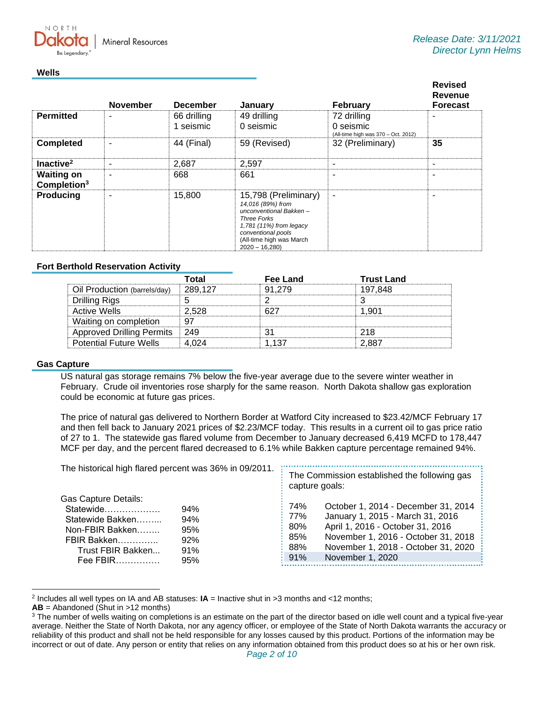**Mineral Resources** 

#### **Wells**

NORTH

|                                              | <b>November</b> | <b>December</b>          | January                                                                                                                                                                                   | February                                                        | <b>Revised</b><br><b>Revenue</b><br><b>Forecast</b> |
|----------------------------------------------|-----------------|--------------------------|-------------------------------------------------------------------------------------------------------------------------------------------------------------------------------------------|-----------------------------------------------------------------|-----------------------------------------------------|
| <b>Permitted</b>                             |                 | 66 drilling<br>1 seismic | 49 drilling<br>0 seismic                                                                                                                                                                  | 72 drilling<br>0 seismic<br>(All-time high was 370 - Oct. 2012) |                                                     |
| <b>Completed</b>                             |                 | 44 (Final)               | 59 (Revised)                                                                                                                                                                              | 32 (Preliminary)                                                | 35                                                  |
| Inactive <sup>2</sup>                        |                 | 2,687                    | 2,597                                                                                                                                                                                     | $\overline{\phantom{a}}$                                        | $\overline{\phantom{a}}$                            |
| <b>Waiting on</b><br>Completion <sup>3</sup> |                 | 668                      | 661                                                                                                                                                                                       | ۰                                                               |                                                     |
| <b>Producing</b>                             |                 | 15,800                   | 15,798 (Preliminary)<br>14,016 (89%) from<br>unconventional Bakken-<br><b>Three Forks</b><br>1,781 (11%) from legacy<br>conventional pools<br>(All-time high was March<br>$2020 - 16,280$ | $\blacksquare$                                                  |                                                     |

## **Fort Berthold Reservation Activity**

|                                  | Total   | Fee Land | <b>Trust Land</b> |
|----------------------------------|---------|----------|-------------------|
| Oil Production (barrels/day)     | 289.127 | 91 279   | 197.848           |
| Drilling Rigs                    |         |          |                   |
| Active Wells                     | 2.528   |          |                   |
| Waiting on completion            |         |          |                   |
| <b>Approved Drilling Permits</b> | - 249   |          | つ1R               |
| <b>Potential Future Wells</b>    |         |          | 2.88.             |

#### **Gas Capture**

US natural gas storage remains 7% below the five-year average due to the severe winter weather in February. Crude oil inventories rose sharply for the same reason. North Dakota shallow gas exploration could be economic at future gas prices.

The price of natural gas delivered to Northern Border at Watford City increased to \$23.42/MCF February 17 and then fell back to January 2021 prices of \$2.23/MCF today. This results in a current oil to gas price ratio of 27 to 1. The statewide gas flared volume from December to January decreased 6,419 MCFD to 178,447 MCF per day, and the percent flared decreased to 6.1% while Bakken capture percentage remained 94%.

| The historical high flared percent was 36% in 09/2011.                                                                                                                    | The Commission established the following gas<br>capture goals:                                                                                                                                                                                          |  |
|---------------------------------------------------------------------------------------------------------------------------------------------------------------------------|---------------------------------------------------------------------------------------------------------------------------------------------------------------------------------------------------------------------------------------------------------|--|
| <b>Gas Capture Details:</b><br>Statewide<br>94%<br>94%<br>Statewide Bakken<br>Non-FBIR Bakken<br>95%<br>FBIR Bakken<br>92%<br>Trust FBIR Bakken<br>91%<br>Fee FBIR<br>95% | October 1, 2014 - December 31, 2014<br>74%<br>January 1, 2015 - March 31, 2016<br>77%<br>April 1, 2016 - October 31, 2016<br>80%<br>November 1, 2016 - October 31, 2018<br>85%<br>November 1, 2018 - October 31, 2020<br>88%<br>91%<br>November 1, 2020 |  |

<sup>2</sup> Includes all well types on IA and AB statuses: **IA** = Inactive shut in >3 months and <12 months;

**AB** = Abandoned (Shut in >12 months)

<sup>&</sup>lt;sup>3</sup> The number of wells waiting on completions is an estimate on the part of the director based on idle well count and a typical five-year average. Neither the State of North Dakota, nor any agency officer, or employee of the State of North Dakota warrants the accuracy or reliability of this product and shall not be held responsible for any losses caused by this product. Portions of the information may be incorrect or out of date. Any person or entity that relies on any information obtained from this product does so at his or her own risk.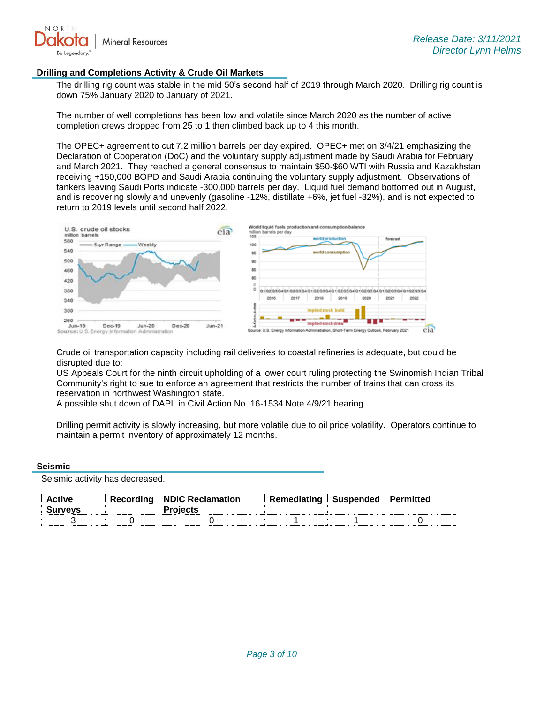

#### **Drilling and Completions Activity & Crude Oil Markets**

The drilling rig count was stable in the mid 50's second half of 2019 through March 2020. Drilling rig count is down 75% January 2020 to January of 2021.

The number of well completions has been low and volatile since March 2020 as the number of active completion crews dropped from 25 to 1 then climbed back up to 4 this month.

The OPEC+ agreement to cut 7.2 million barrels per day expired. OPEC+ met on 3/4/21 emphasizing the Declaration of Cooperation (DoC) and the voluntary supply adjustment made by Saudi Arabia for February and March 2021. They reached a general consensus to maintain \$50-\$60 WTI with Russia and Kazakhstan receiving +150,000 BOPD and Saudi Arabia continuing the voluntary supply adjustment. Observations of tankers leaving Saudi Ports indicate -300,000 barrels per day. Liquid fuel demand bottomed out in August, and is recovering slowly and unevenly (gasoline -12%, distillate +6%, jet fuel -32%), and is not expected to return to 2019 levels until second half 2022.



Crude oil transportation capacity including rail deliveries to coastal refineries is adequate, but could be disrupted due to:

US Appeals Court for the ninth circuit upholding of a lower court ruling protecting the Swinomish Indian Tribal Community's right to sue to enforce an agreement that restricts the number of trains that can cross its reservation in northwest Washington state.

A possible shut down of DAPL in Civil Action No. 16-1534 Note 4/9/21 hearing.

Drilling permit activity is slowly increasing, but more volatile due to oil price volatility. Operators continue to maintain a permit inventory of approximately 12 months.

#### **Seismic**

Seismic activity has decreased.

| <b>Active</b><br><b>Surveys</b> | <b>Recording NDIC Reclamation</b><br><b>Projects</b> | Remediating Suspended Permitted |  |
|---------------------------------|------------------------------------------------------|---------------------------------|--|
|                                 |                                                      |                                 |  |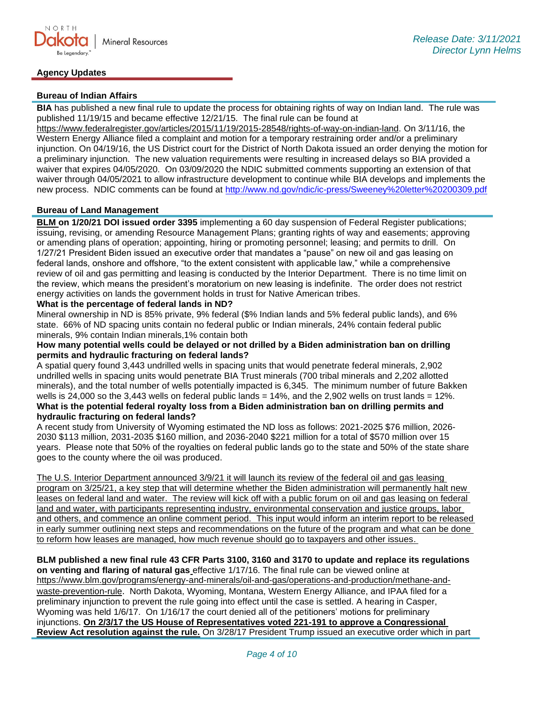# **Agency Updates**

### **Bureau of Indian Affairs**

**BIA** has published a new final rule to update the process for obtaining rights of way on Indian land. The rule was published 11/19/15 and became effective 12/21/15. The final rule can be found at

[https://www.federalregister.gov/articles/2015/11/19/2015-28548/rights-of-way-on-indian-land.](https://gcc02.safelinks.protection.outlook.com/?url=https%3A%2F%2Fwww.federalregister.gov%2Farticles%2F2015%2F11%2F19%2F2015-28548%2Frights-of-way-on-indian-land&data=04%7C01%7Ckahaarsager%40nd.gov%7C6928b6351bcb4a1a121b08d8b9647a47%7C2dea0464da514a88bae2b3db94bc0c54%7C0%7C0%7C637463188508268796%7CUnknown%7CTWFpbGZsb3d8eyJWIjoiMC4wLjAwMDAiLCJQIjoiV2luMzIiLCJBTiI6Ik1haWwiLCJXVCI6Mn0%3D%7C1000&sdata=a5l0ZWxiv927whetB9b%2F6DI4m6QOmSlIFot7WWc%2FKto%3D&reserved=0) On 3/11/16, the Western Energy Alliance filed a complaint and motion for a temporary restraining order and/or a preliminary injunction. On 04/19/16, the US District court for the District of North Dakota issued an order denying the motion for a preliminary injunction. The new valuation requirements were resulting in increased delays so BIA provided a waiver that expires 04/05/2020. On 03/09/2020 the NDIC submitted comments supporting an extension of that waiver through 04/05/2021 to allow infrastructure development to continue while BIA develops and implements the new process. NDIC comments can be found at<http://www.nd.gov/ndic/ic-press/Sweeney%20letter%20200309.pdf>

#### **Bureau of Land Management**

**BLM on 1/20/21 DOI issued order 3395** implementing a 60 day suspension of Federal Register publications; issuing, revising, or amending Resource Management Plans; granting rights of way and easements; approving or amending plans of operation; appointing, hiring or promoting personnel; leasing; and permits to drill. On 1/27/21 President Biden issued an executive order that mandates a "pause" on new oil and gas leasing on federal lands, onshore and offshore, "to the extent consistent with applicable law," while a comprehensive review of oil and gas permitting and leasing is conducted by the Interior Department. There is no time limit on the review, which means the president's moratorium on new leasing is indefinite. The order does not restrict energy activities on lands the government holds in trust for Native American tribes.

## **What is the percentage of federal lands in ND?**

Mineral ownership in ND is 85% private, 9% federal (\$% Indian lands and 5% federal public lands), and 6% state. 66% of ND spacing units contain no federal public or Indian minerals, 24% contain federal public minerals, 9% contain Indian minerals,1% contain both

### **How many potential wells could be delayed or not drilled by a Biden administration ban on drilling permits and hydraulic fracturing on federal lands?**

A spatial query found 3,443 undrilled wells in spacing units that would penetrate federal minerals, 2,902 undrilled wells in spacing units would penetrate BIA Trust minerals (700 tribal minerals and 2,202 allotted minerals), and the total number of wells potentially impacted is 6,345. The minimum number of future Bakken wells is 24,000 so the 3,443 wells on federal public lands = 14%, and the 2,902 wells on trust lands = 12%. **What is the potential federal royalty loss from a Biden administration ban on drilling permits and hydraulic fracturing on federal lands?**

A recent study from University of Wyoming estimated the ND loss as follows: 2021-2025 \$76 million, 2026- 2030 \$113 million, 2031-2035 \$160 million, and 2036-2040 \$221 million for a total of \$570 million over 15 years. Please note that 50% of the royalties on federal public lands go to the state and 50% of the state share goes to the county where the oil was produced.

The U.S. Interior Department announced 3/9/21 it will launch its review of the federal oil and gas leasing program on 3/25/21, a key step that will determine whether the Biden administration will permanently halt new leases on federal land and water. The review will kick off with a public forum on oil and gas leasing on federal land and water, with participants representing industry, environmental conservation and justice groups, labor and others, and commence an online comment period. This input would inform an interim report to be released in early summer outlining next steps and recommendations on the future of the program and what can be done to reform how leases are managed, how much revenue should go to taxpayers and other issues.

**BLM published a new final rule 43 CFR Parts 3100, 3160 and 3170 to update and replace its regulations on venting and flaring of natural gas** effective 1/17/16. The final rule can be viewed online at [https://www.blm.gov/programs/energy-and-minerals/oil-and-gas/operations-and-production/methane-and](https://gcc02.safelinks.protection.outlook.com/?url=https%3A%2F%2Fwww.blm.gov%2Fprograms%2Fenergy-and-minerals%2Foil-and-gas%2Foperations-and-production%2Fmethane-and-waste-prevention-rule&data=04%7C01%7Ckahaarsager%40nd.gov%7Cb622b2e009e346b891d208d8e4bf6602%7C2dea0464da514a88bae2b3db94bc0c54%7C0%7C0%7C637510858013911941%7CUnknown%7CTWFpbGZsb3d8eyJWIjoiMC4wLjAwMDAiLCJQIjoiV2luMzIiLCJBTiI6Ik1haWwiLCJXVCI6Mn0%3D%7C1000&sdata=lrFIQqpCA0xNrRuOWpHuiQRk972aWfcCDjh3hjs3k6Q%3D&reserved=0)[waste-prevention-rule](https://gcc02.safelinks.protection.outlook.com/?url=https%3A%2F%2Fwww.blm.gov%2Fprograms%2Fenergy-and-minerals%2Foil-and-gas%2Foperations-and-production%2Fmethane-and-waste-prevention-rule&data=04%7C01%7Ckahaarsager%40nd.gov%7Cb622b2e009e346b891d208d8e4bf6602%7C2dea0464da514a88bae2b3db94bc0c54%7C0%7C0%7C637510858013911941%7CUnknown%7CTWFpbGZsb3d8eyJWIjoiMC4wLjAwMDAiLCJQIjoiV2luMzIiLCJBTiI6Ik1haWwiLCJXVCI6Mn0%3D%7C1000&sdata=lrFIQqpCA0xNrRuOWpHuiQRk972aWfcCDjh3hjs3k6Q%3D&reserved=0). North Dakota, Wyoming, Montana, Western Energy Alliance, and IPAA filed for a preliminary injunction to prevent the rule going into effect until the case is settled. A hearing in Casper, Wyoming was held 1/6/17. On 1/16/17 the court denied all of the petitioners' motions for preliminary injunctions. **On 2/3/17 the US House of Representatives voted 221-191 to approve a Congressional Review Act resolution against the rule.** On 3/28/17 President Trump issued an executive order which in part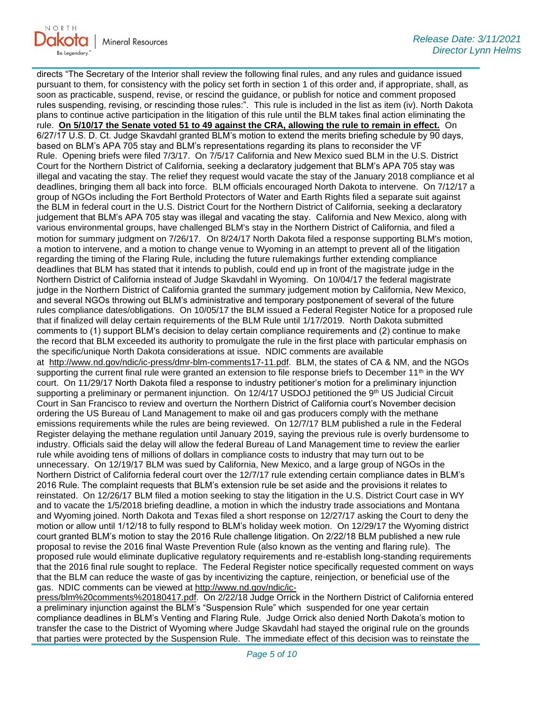

directs "The Secretary of the Interior shall review the following final rules, and any rules and guidance issued pursuant to them, for consistency with the policy set forth in section 1 of this order and, if appropriate, shall, as soon as practicable, suspend, revise, or rescind the guidance, or publish for notice and comment proposed rules suspending, revising, or rescinding those rules:". This rule is included in the list as item (iv). North Dakota plans to continue active participation in the litigation of this rule until the BLM takes final action eliminating the rule. **On 5/10/17 the Senate voted 51 to 49 against the CRA, allowing the rule to remain in effect.** On 6/27/17 U.S. D. Ct. Judge Skavdahl granted BLM's motion to extend the merits briefing schedule by 90 days, based on BLM's APA 705 stay and BLM's representations regarding its plans to reconsider the VF Rule. Opening briefs were filed 7/3/17. On 7/5/17 California and New Mexico sued BLM in the U.S. District Court for the Northern District of California, seeking a declaratory judgement that BLM's APA 705 stay was illegal and vacating the stay. The relief they request would vacate the stay of the January 2018 compliance et al deadlines, bringing them all back into force. BLM officials encouraged North Dakota to intervene. On 7/12/17 a group of NGOs including the Fort Berthold Protectors of Water and Earth Rights filed a separate suit against the BLM in federal court in the U.S. District Court for the Northern District of California, seeking a declaratory judgement that BLM's APA 705 stay was illegal and vacating the stay. California and New Mexico, along with various environmental groups, have challenged BLM's stay in the Northern District of California, and filed a motion for summary judgment on 7/26/17. On 8/24/17 North Dakota filed a response supporting BLM's motion, a motion to intervene, and a motion to change venue to Wyoming in an attempt to prevent all of the litigation regarding the timing of the Flaring Rule, including the future rulemakings further extending compliance deadlines that BLM has stated that it intends to publish, could end up in front of the magistrate judge in the Northern District of California instead of Judge Skavdahl in Wyoming. On 10/04/17 the federal magistrate judge in the Northern District of California granted the summary judgement motion by California, New Mexico, and several NGOs throwing out BLM's administrative and temporary postponement of several of the future rules compliance dates/obligations. On 10/05/17 the BLM issued a Federal Register Notice for a proposed rule that if finalized will delay certain requirements of the BLM Rule until 1/17/2019. North Dakota submitted comments to (1) support BLM's decision to delay certain compliance requirements and (2) continue to make the record that BLM exceeded its authority to promulgate the rule in the first place with particular emphasis on the specific/unique North Dakota considerations at issue. NDIC comments are available at [http://www.nd.gov/ndic/ic-press/dmr-blm-comments17-11.pdf.](http://www.nd.gov/ndic/ic-press/dmr-blm-comments17-11.pdf) BLM, the states of CA & NM, and the NGOs supporting the current final rule were granted an extension to file response briefs to December 11<sup>th</sup> in the WY court. On 11/29/17 North Dakota filed a response to industry petitioner's motion for a preliminary injunction supporting a preliminary or permanent injunction. On 12/4/17 USDOJ petitioned the 9th US Judicial Circuit Court in San Francisco to review and overturn the Northern District of California court's November decision ordering the US Bureau of Land Management to make oil and gas producers comply with the methane emissions requirements while the rules are being reviewed. On 12/7/17 BLM published a rule in the Federal Register delaying the methane regulation until January 2019, saying the previous rule is overly burdensome to industry. Officials said the delay will allow the federal Bureau of Land Management time to review the earlier rule while avoiding tens of millions of dollars in compliance costs to industry that may turn out to be unnecessary. On 12/19/17 BLM was sued by California, New Mexico, and a large group of NGOs in the Northern District of California federal court over the 12/7/17 rule extending certain compliance dates in BLM's 2016 Rule. The complaint requests that BLM's extension rule be set aside and the provisions it relates to reinstated. On 12/26/17 BLM filed a motion seeking to stay the litigation in the U.S. District Court case in WY and to vacate the 1/5/2018 briefing deadline, a motion in which the industry trade associations and Montana and Wyoming joined. North Dakota and Texas filed a short response on 12/27/17 asking the Court to deny the motion or allow until 1/12/18 to fully respond to BLM's holiday week motion. On 12/29/17 the Wyoming district court granted BLM's motion to stay the 2016 Rule challenge litigation. On 2/22/18 BLM published a new rule proposal to revise the 2016 final Waste Prevention Rule (also known as the venting and flaring rule). The proposed rule would eliminate duplicative regulatory requirements and re-establish long-standing requirements that the 2016 final rule sought to replace. The Federal Register notice specifically requested comment on ways that the BLM can reduce the waste of gas by incentivizing the capture, reinjection, or beneficial use of the gas. NDIC comments can be viewed at [http://www.nd.gov/ndic/ic-](http://www.nd.gov/ndic/ic-press/blm%20comments%20180417.pdf)

[press/blm%20comments%20180417.pdf.](http://www.nd.gov/ndic/ic-press/blm%20comments%20180417.pdf) On 2/22/18 Judge Orrick in the Northern District of California entered a preliminary injunction against the BLM's "Suspension Rule" which suspended for one year certain compliance deadlines in BLM's Venting and Flaring Rule. Judge Orrick also denied North Dakota's motion to transfer the case to the District of Wyoming where Judge Skavdahl had stayed the original rule on the grounds that parties were protected by the Suspension Rule. The immediate effect of this decision was to reinstate the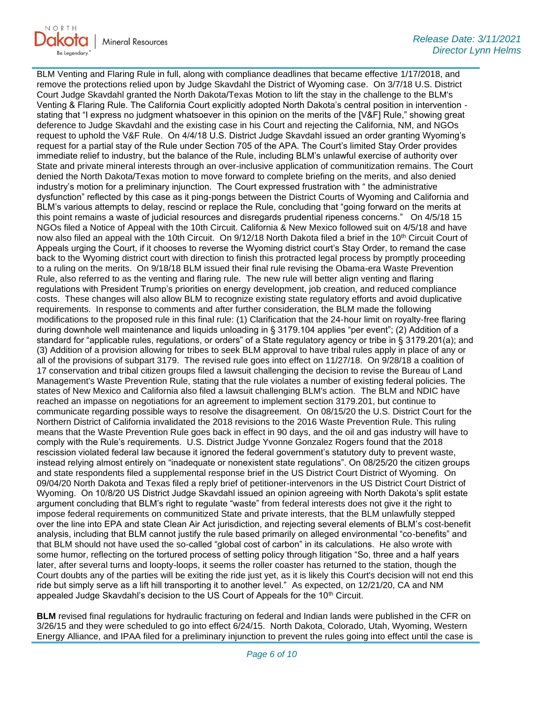

BLM Venting and Flaring Rule in full, along with compliance deadlines that became effective 1/17/2018, and remove the protections relied upon by Judge Skavdahl the District of Wyoming case. On 3/7/18 U.S. District Court Judge Skavdahl granted the North Dakota/Texas Motion to lift the stay in the challenge to the BLM's Venting & Flaring Rule. The California Court explicitly adopted North Dakota's central position in intervention stating that "I express no judgment whatsoever in this opinion on the merits of the [V&F] Rule," showing great deference to Judge Skavdahl and the existing case in his Court and rejecting the California, NM, and NGOs request to uphold the V&F Rule. On 4/4/18 U.S. District Judge Skavdahl issued an order granting Wyoming's request for a partial stay of the Rule under Section 705 of the APA. The Court's limited Stay Order provides immediate relief to industry, but the balance of the Rule, including BLM's unlawful exercise of authority over State and private mineral interests through an over-inclusive application of communitization remains. The Court denied the North Dakota/Texas motion to move forward to complete briefing on the merits, and also denied industry's motion for a preliminary injunction. The Court expressed frustration with " the administrative dysfunction" reflected by this case as it ping-pongs between the District Courts of Wyoming and California and BLM's various attempts to delay, rescind or replace the Rule, concluding that "going forward on the merits at this point remains a waste of judicial resources and disregards prudential ripeness concerns." On 4/5/18 15 NGOs filed a Notice of Appeal with the 10th Circuit. California & New Mexico followed suit on 4/5/18 and have now also filed an appeal with the 10th Circuit. On 9/12/18 North Dakota filed a brief in the 10<sup>th</sup> Circuit Court of Appeals urging the Court, if it chooses to reverse the Wyoming district court's Stay Order, to remand the case back to the Wyoming district court with direction to finish this protracted legal process by promptly proceeding to a ruling on the merits. On 9/18/18 BLM issued their final rule revising the Obama-era Waste Prevention Rule, also referred to as the venting and flaring rule. The new rule will better align venting and flaring regulations with President Trump's priorities on energy development, job creation, and reduced compliance costs. These changes will also allow BLM to recognize existing state regulatory efforts and avoid duplicative requirements. In response to comments and after further consideration, the BLM made the following modifications to the proposed rule in this final rule: (1) Clarification that the 24-hour limit on royalty-free flaring during downhole well maintenance and liquids unloading in § 3179.104 applies "per event"; (2) Addition of a standard for "applicable rules, regulations, or orders" of a State regulatory agency or tribe in § 3179.201(a); and (3) Addition of a provision allowing for tribes to seek BLM approval to have tribal rules apply in place of any or all of the provisions of subpart 3179. The revised rule goes into effect on 11/27/18. On 9/28/18 a coalition of 17 conservation and tribal citizen groups filed a lawsuit challenging the decision to revise the Bureau of Land Management's Waste Prevention Rule, stating that the rule violates a number of existing federal policies. The states of New Mexico and California also filed a lawsuit challenging BLM's action. The BLM and NDIC have reached an impasse on negotiations for an agreement to implement section 3179.201, but continue to communicate regarding possible ways to resolve the disagreement. On 08/15/20 the U.S. District Court for the Northern District of California invalidated the 2018 revisions to the 2016 Waste Prevention Rule. This ruling means that the Waste Prevention Rule goes back in effect in 90 days, and the oil and gas industry will have to comply with the Rule's requirements. U.S. District Judge Yvonne Gonzalez Rogers found that the 2018 rescission violated federal law because it ignored the federal government's statutory duty to prevent waste, instead relying almost entirely on "inadequate or nonexistent state regulations". On 08/25/20 the citizen groups and state respondents filed a supplemental response brief in the US District Court District of Wyoming. On 09/04/20 North Dakota and Texas filed a reply brief of petitioner-intervenors in the US District Court District of Wyoming. On 10/8/20 US District Judge Skavdahl issued an opinion agreeing with North Dakota's split estate argument concluding that BLM's right to regulate "waste" from federal interests does not give it the right to impose federal requirements on communitized State and private interests, that the BLM unlawfully stepped over the line into EPA and state Clean Air Act jurisdiction, and rejecting several elements of BLM's cost-benefit analysis, including that BLM cannot justify the rule based primarily on alleged environmental "co-benefits" and that BLM should not have used the so-called "global cost of carbon" in its calculations. He also wrote with some humor, reflecting on the tortured process of setting policy through litigation "So, three and a half years later, after several turns and loopty-loops, it seems the roller coaster has returned to the station, though the Court doubts any of the parties will be exiting the ride just yet, as it is likely this Court's decision will not end this ride but simply serve as a lift hill transporting it to another level." As expected, on 12/21/20, CA and NM appealed Judge Skavdahl's decision to the US Court of Appeals for the  $10<sup>th</sup>$  Circuit.

**BLM** revised final regulations for hydraulic fracturing on federal and Indian lands were published in the CFR on 3/26/15 and they were scheduled to go into effect 6/24/15. North Dakota, Colorado, Utah, Wyoming, Western Energy Alliance, and IPAA filed for a preliminary injunction to prevent the rules going into effect until the case is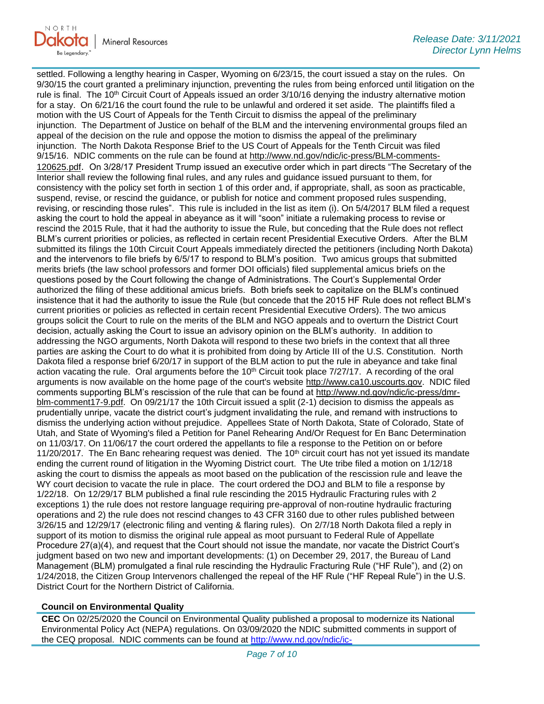

settled. Following a lengthy hearing in Casper, Wyoming on 6/23/15, the court issued a stay on the rules. On 9/30/15 the court granted a preliminary injunction, preventing the rules from being enforced until litigation on the rule is final. The 10<sup>th</sup> Circuit Court of Appeals issued an order 3/10/16 denying the industry alternative motion for a stay. On 6/21/16 the court found the rule to be unlawful and ordered it set aside. The plaintiffs filed a motion with the US Court of Appeals for the Tenth Circuit to dismiss the appeal of the preliminary injunction. The Department of Justice on behalf of the BLM and the intervening environmental groups filed an appeal of the decision on the rule and oppose the motion to dismiss the appeal of the preliminary injunction. The North Dakota Response Brief to the US Court of Appeals for the Tenth Circuit was filed 9/15/16. NDIC comments on the rule can be found at [http://www.nd.gov/ndic/ic-press/BLM-comments-](http://www.nd.gov/ndic/ic-press/BLM-comments-120625.pdf)[120625.pdf](http://www.nd.gov/ndic/ic-press/BLM-comments-120625.pdf). On 3/28/17 President Trump issued an executive order which in part directs "The Secretary of the Interior shall review the following final rules, and any rules and guidance issued pursuant to them, for consistency with the policy set forth in section 1 of this order and, if appropriate, shall, as soon as practicable, suspend, revise, or rescind the guidance, or publish for notice and comment proposed rules suspending, revising, or rescinding those rules". This rule is included in the list as item (i). On 5/4/2017 BLM filed a request asking the court to hold the appeal in abeyance as it will "soon" initiate a rulemaking process to revise or rescind the 2015 Rule, that it had the authority to issue the Rule, but conceding that the Rule does not reflect BLM's current priorities or policies, as reflected in certain recent Presidential Executive Orders. After the BLM submitted its filings the 10th Circuit Court Appeals immediately directed the petitioners (including North Dakota) and the intervenors to file briefs by 6/5/17 to respond to BLM's position. Two amicus groups that submitted merits briefs (the law school professors and former DOI officials) filed supplemental amicus briefs on the questions posed by the Court following the change of Administrations. The Court's Supplemental Order authorized the filing of these additional amicus briefs. Both briefs seek to capitalize on the BLM's continued insistence that it had the authority to issue the Rule (but concede that the 2015 HF Rule does not reflect BLM's current priorities or policies as reflected in certain recent Presidential Executive Orders). The two amicus groups solicit the Court to rule on the merits of the BLM and NGO appeals and to overturn the District Court decision, actually asking the Court to issue an advisory opinion on the BLM's authority. In addition to addressing the NGO arguments, North Dakota will respond to these two briefs in the context that all three parties are asking the Court to do what it is prohibited from doing by Article III of the U.S. Constitution. North Dakota filed a response brief 6/20/17 in support of the BLM action to put the rule in abeyance and take final action vacating the rule. Oral arguments before the 10<sup>th</sup> Circuit took place 7/27/17. A recording of the oral arguments is now available on the home page of the court's website [http://www.ca10.uscourts.gov.](https://gcc02.safelinks.protection.outlook.com/?url=https%3A%2F%2Furldefense.proofpoint.com%2Fv2%2Furl%3Fu%3Dhttp-3A__www.ca10.uscourts.gov%26d%3DDwMGaQ%26c%3D2s2mvbfY0UoSKkl6_Ol9wg%26r%3D-wqsZnBxny594KY8HeElow%26m%3DUl_VtJUX6iW5pvHjCcBxUWtskC0F4Dhry3sPtcEHvCw%26s%3DlaRHiLDv5w8otcQWQjpn82WMieoB2AZ-Q4M1LFQPL5s%26e%3D&data=04%7C01%7Ckahaarsager%40nd.gov%7Cb622b2e009e346b891d208d8e4bf6602%7C2dea0464da514a88bae2b3db94bc0c54%7C0%7C0%7C637510858013911941%7CUnknown%7CTWFpbGZsb3d8eyJWIjoiMC4wLjAwMDAiLCJQIjoiV2luMzIiLCJBTiI6Ik1haWwiLCJXVCI6Mn0%3D%7C1000&sdata=alyg1SqsryHHVYzEYb74JkvHQENm2KAA1X0ynyAAgWM%3D&reserved=0) NDIC filed comments supporting BLM's rescission of the rule that can be found at [http://www.nd.gov/ndic/ic-press/dmr](http://www.nd.gov/ndic/ic-press/dmr-blm-comment17-9.pdf)[blm-comment17-9.pdf.](http://www.nd.gov/ndic/ic-press/dmr-blm-comment17-9.pdf) On 09/21/17 the 10th Circuit issued a split (2-1) decision to dismiss the appeals as prudentially unripe, vacate the district court's judgment invalidating the rule, and remand with instructions to dismiss the underlying action without prejudice. Appellees State of North Dakota, State of Colorado, State of Utah, and State of Wyoming's filed a Petition for Panel Rehearing And/Or Request for En Banc Determination on 11/03/17. On 11/06/17 the court ordered the appellants to file a response to the Petition on or before 11/20/2017. The En Banc rehearing request was denied. The  $10<sup>th</sup>$  circuit court has not yet issued its mandate ending the current round of litigation in the Wyoming District court. The Ute tribe filed a motion on 1/12/18 asking the court to dismiss the appeals as moot based on the publication of the rescission rule and leave the WY court decision to vacate the rule in place. The court ordered the DOJ and BLM to file a response by 1/22/18. On 12/29/17 BLM published a final rule rescinding the 2015 Hydraulic Fracturing rules with 2 exceptions 1) the rule does not restore language requiring pre-approval of non-routine hydraulic fracturing operations and 2) the rule does not rescind changes to 43 CFR 3160 due to other rules published between 3/26/15 and 12/29/17 (electronic filing and venting & flaring rules). On 2/7/18 North Dakota filed a reply in support of its motion to dismiss the original rule appeal as moot pursuant to Federal Rule of Appellate Procedure 27(a)(4), and request that the Court should not issue the mandate, nor vacate the District Court's judgment based on two new and important developments: (1) on December 29, 2017, the Bureau of Land Management (BLM) promulgated a final rule rescinding the Hydraulic Fracturing Rule ("HF Rule"), and (2) on 1/24/2018, the Citizen Group Intervenors challenged the repeal of the HF Rule ("HF Repeal Rule") in the U.S. District Court for the Northern District of California.

#### **Council on Environmental Quality**

**CEC** On 02/25/2020 the Council on Environmental Quality published a proposal to modernize its National Environmental Policy Act (NEPA) regulations. On 03/09/2020 the NDIC submitted comments in support of the CEQ proposal. NDIC comments can be found at [http://www.nd.gov/ndic/ic-](http://www.nd.gov/ndic/ic-press/Council%20of%20Environmental%20Quality%20200309.pdf)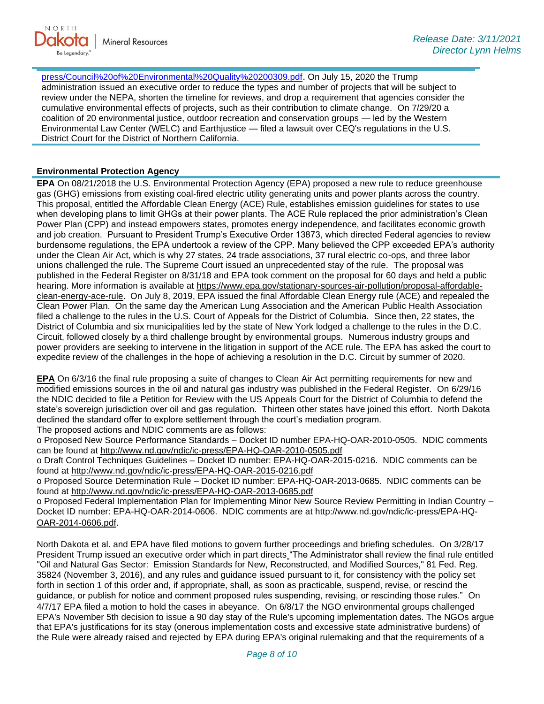[press/Council%20of%20Environmental%20Quality%20200309.pdf](http://www.nd.gov/ndic/ic-press/Council%20of%20Environmental%20Quality%20200309.pdf). On July 15, 2020 the Trump administration issued an executive order to reduce the types and number of projects that will be subject to review under the NEPA, shorten the timeline for reviews, and drop a requirement that agencies consider the cumulative environmental effects of projects, such as their contribution to climate change. On 7/29/20 a coalition of 20 environmental justice, outdoor recreation and conservation groups — led by the Western Environmental Law Center (WELC) and Earthjustice — filed a lawsuit over CEQ's regulations in the U.S. District Court for the District of Northern California.

# **Environmental Protection Agency**

**EPA** On 08/21/2018 the U.S. Environmental Protection Agency (EPA) proposed a new rule to reduce greenhouse gas (GHG) emissions from existing coal-fired electric utility generating units and power plants across the country. This proposal, entitled the Affordable Clean Energy (ACE) Rule, establishes emission guidelines for states to use when developing plans to limit GHGs at their power plants. The ACE Rule replaced the prior administration's Clean Power Plan (CPP) and instead empowers states, promotes energy independence, and facilitates economic growth and job creation. Pursuant to President Trump's Executive Order 13873, which directed Federal agencies to review burdensome regulations, the EPA undertook a review of the CPP. Many believed the CPP exceeded EPA's authority under the Clean Air Act, which is why 27 states, 24 trade associations, 37 rural electric co-ops, and three labor unions challenged the rule. The Supreme Court issued an unprecedented stay of the rule. The proposal was published in the Federal Register on 8/31/18 and EPA took comment on the proposal for 60 days and held a public hearing. More information is available at [https://www.epa.gov/stationary-sources-air-pollution/proposal-affordable](https://gcc02.safelinks.protection.outlook.com/?url=https%3A%2F%2Fwww.epa.gov%2Fstationary-sources-air-pollution%2Fproposal-affordable-clean-energy-ace-rule&data=04%7C01%7Ckahaarsager%40nd.gov%7Ca8904fcba86a4c329e4608d8cf6e651e%7C2dea0464da514a88bae2b3db94bc0c54%7C0%7C0%7C637487420347799705%7CUnknown%7CTWFpbGZsb3d8eyJWIjoiMC4wLjAwMDAiLCJQIjoiV2luMzIiLCJBTiI6Ik1haWwiLCJXVCI6Mn0%3D%7C1000&sdata=Qa3zPT87znr3%2BK6cB9%2B%2BQmbpRd%2Bd8mjkqlmnAe4Plv4%3D&reserved=0)[clean-energy-ace-rule.](https://gcc02.safelinks.protection.outlook.com/?url=https%3A%2F%2Fwww.epa.gov%2Fstationary-sources-air-pollution%2Fproposal-affordable-clean-energy-ace-rule&data=04%7C01%7Ckahaarsager%40nd.gov%7Ca8904fcba86a4c329e4608d8cf6e651e%7C2dea0464da514a88bae2b3db94bc0c54%7C0%7C0%7C637487420347799705%7CUnknown%7CTWFpbGZsb3d8eyJWIjoiMC4wLjAwMDAiLCJQIjoiV2luMzIiLCJBTiI6Ik1haWwiLCJXVCI6Mn0%3D%7C1000&sdata=Qa3zPT87znr3%2BK6cB9%2B%2BQmbpRd%2Bd8mjkqlmnAe4Plv4%3D&reserved=0) On July 8, 2019, EPA issued the final Affordable Clean Energy rule (ACE) and repealed the Clean Power Plan. On the same day the American Lung Association and the American Public Health Association filed a challenge to the rules in the U.S. Court of Appeals for the District of Columbia. Since then, 22 states, the District of Columbia and six municipalities led by the state of New York lodged a challenge to the rules in the D.C. Circuit, followed closely by a third challenge brought by environmental groups. Numerous industry groups and power providers are seeking to intervene in the litigation in support of the ACE rule. The EPA has asked the court to expedite review of the challenges in the hope of achieving a resolution in the D.C. Circuit by summer of 2020.

**EPA** On 6/3/16 the final rule proposing a suite of changes to Clean Air Act permitting requirements for new and modified emissions sources in the oil and natural gas industry was published in the Federal Register. On 6/29/16 the NDIC decided to file a Petition for Review with the US Appeals Court for the District of Columbia to defend the state's sovereign jurisdiction over oil and gas regulation. Thirteen other states have joined this effort. North Dakota declined the standard offer to explore settlement through the court's mediation program. The proposed actions and NDIC comments are as follows:

o Proposed New Source Performance Standards – Docket ID number EPA-HQ-OAR-2010-0505. NDIC comments can be found at<http://www.nd.gov/ndic/ic-press/EPA-HQ-OAR-2010-0505.pdf>

o Draft Control Techniques Guidelines – Docket ID number: EPA-HQ-OAR-2015-0216. NDIC comments can be found at<http://www.nd.gov/ndic/ic-press/EPA-HQ-OAR-2015-0216.pdf>

o Proposed Source Determination Rule – Docket ID number: EPA-HQ-OAR-2013-0685. NDIC comments can be found at<http://www.nd.gov/ndic/ic-press/EPA-HQ-OAR-2013-0685.pdf>

o Proposed Federal Implementation Plan for Implementing Minor New Source Review Permitting in Indian Country – Docket ID number: EPA-HQ-OAR-2014-0606. NDIC comments are at [http://www.nd.gov/ndic/ic-press/EPA-HQ-](http://www.nd.gov/ndic/ic-press/EPA-HQ-OAR-2014-0606.pdf)[OAR-2014-0606.pdf](http://www.nd.gov/ndic/ic-press/EPA-HQ-OAR-2014-0606.pdf).

North Dakota et al. and EPA have filed motions to govern further proceedings and briefing schedules. On 3/28/17 President Trump issued an executive order which in part directs "The Administrator shall review the final rule entitled "Oil and Natural Gas Sector: Emission Standards for New, Reconstructed, and Modified Sources," 81 Fed. Reg. 35824 (November 3, 2016), and any rules and guidance issued pursuant to it, for consistency with the policy set forth in section 1 of this order and, if appropriate, shall, as soon as practicable, suspend, revise, or rescind the guidance, or publish for notice and comment proposed rules suspending, revising, or rescinding those rules." On 4/7/17 EPA filed a motion to hold the cases in abeyance. On 6/8/17 the NGO environmental groups challenged EPA's November 5th decision to issue a 90 day stay of the Rule's upcoming implementation dates. The NGOs argue that EPA's justifications for its stay (onerous implementation costs and excessive state administrative burdens) of the Rule were already raised and rejected by EPA during EPA's original rulemaking and that the requirements of a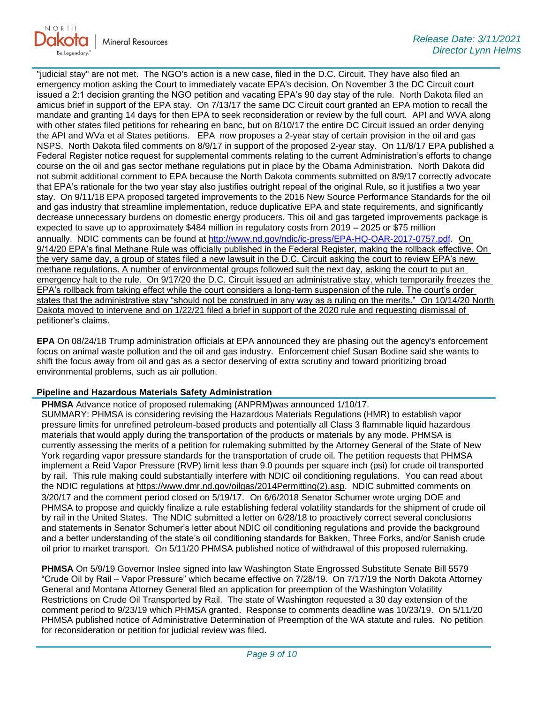

"judicial stay" are not met. The NGO's action is a new case, filed in the D.C. Circuit. They have also filed an emergency motion asking the Court to immediately vacate EPA's decision. On November 3 the DC Circuit court issued a 2:1 decision granting the NGO petition and vacating EPA's 90 day stay of the rule. North Dakota filed an amicus brief in support of the EPA stay. On 7/13/17 the same DC Circuit court granted an EPA motion to recall the mandate and granting 14 days for then EPA to seek reconsideration or review by the full court. API and WVA along with other states filed petitions for rehearing en banc, but on 8/10/17 the entire DC Circuit issued an order denying the API and WVa et al States petitions. EPA now proposes a 2-year stay of certain provision in the oil and gas NSPS. North Dakota filed comments on 8/9/17 in support of the proposed 2-year stay. On 11/8/17 EPA published a Federal Register notice request for supplemental comments relating to the current Administration's efforts to change course on the oil and gas sector methane regulations put in place by the Obama Administration. North Dakota did not submit additional comment to EPA because the North Dakota comments submitted on 8/9/17 correctly advocate that EPA's rationale for the two year stay also justifies outright repeal of the original Rule, so it justifies a two year stay. On 9/11/18 EPA proposed targeted improvements to the 2016 New Source Performance Standards for the oil and gas industry that streamline implementation, reduce duplicative EPA and state requirements, and significantly decrease unnecessary burdens on domestic energy producers. This oil and gas targeted improvements package is expected to save up to approximately \$484 million in regulatory costs from 2019 – 2025 or \$75 million annually. NDIC comments can be found at<http://www.nd.gov/ndic/ic-press/EPA-HQ-OAR-2017-0757.pdf>. On 9/14/20 EPA's final Methane Rule was officially published in the Federal Register, making the rollback effective. On the very same day, a group of states filed a new lawsuit in the D.C. Circuit asking the court to review EPA's new methane regulations. A number of environmental groups followed suit the next day, asking the court to put an emergency halt to the rule. On 9/17/20 the D.C. Circuit issued an administrative stay, which temporarily freezes the EPA's rollback from taking effect while the court considers a long-term suspension of the rule. The court's order states that the administrative stay "should not be construed in any way as a ruling on the merits." On 10/14/20 North Dakota moved to intervene and on 1/22/21 filed a brief in support of the 2020 rule and requesting dismissal of petitioner's claims.

**EPA** On 08/24/18 Trump administration officials at EPA announced they are phasing out the agency's enforcement focus on animal waste pollution and the oil and gas industry. Enforcement chief Susan Bodine said she wants to shift the focus away from oil and gas as a sector deserving of extra scrutiny and toward prioritizing broad environmental problems, such as air pollution.

### **Pipeline and Hazardous Materials Safety Administration**

**PHMSA** Advance notice of proposed rulemaking (ANPRM)was announced 1/10/17. SUMMARY: PHMSA is considering revising the Hazardous Materials Regulations (HMR) to establish vapor pressure limits for unrefined petroleum-based products and potentially all Class 3 flammable liquid hazardous materials that would apply during the transportation of the products or materials by any mode. PHMSA is currently assessing the merits of a petition for rulemaking submitted by the Attorney General of the State of New York regarding vapor pressure standards for the transportation of crude oil. The petition requests that PHMSA implement a Reid Vapor Pressure (RVP) limit less than 9.0 pounds per square inch (psi) for crude oil transported by rail. This rule making could substantially interfere with NDIC oil conditioning regulations. You can read about the NDIC regulations at [https://www.dmr.nd.gov/oilgas/2014Permitting\(2\).asp.](https://www.dmr.nd.gov/oilgas/2014Permitting(2).asp) NDIC submitted comments on 3/20/17 and the comment period closed on 5/19/17. On 6/6/2018 Senator Schumer wrote urging DOE and PHMSA to propose and quickly finalize a rule establishing federal volatility standards for the shipment of crude oil by rail in the United States. The NDIC submitted a letter on 6/28/18 to proactively correct several conclusions and statements in Senator Schumer's letter about NDIC oil conditioning regulations and provide the background and a better understanding of the state's oil conditioning standards for Bakken, Three Forks, and/or Sanish crude oil prior to market transport. On 5/11/20 PHMSA published notice of withdrawal of this proposed rulemaking.

**PHMSA** On 5/9/19 Governor Inslee signed into law Washington State Engrossed Substitute Senate Bill 5579 "Crude Oil by Rail – Vapor Pressure" which became effective on 7/28/19. On 7/17/19 the North Dakota Attorney General and Montana Attorney General filed an application for preemption of the Washington Volatility Restrictions on Crude Oil Transported by Rail. The state of Washington requested a 30 day extension of the comment period to 9/23/19 which PHMSA granted. Response to comments deadline was 10/23/19. On 5/11/20 PHMSA published notice of Administrative Determination of Preemption of the WA statute and rules. No petition for reconsideration or petition for judicial review was filed.